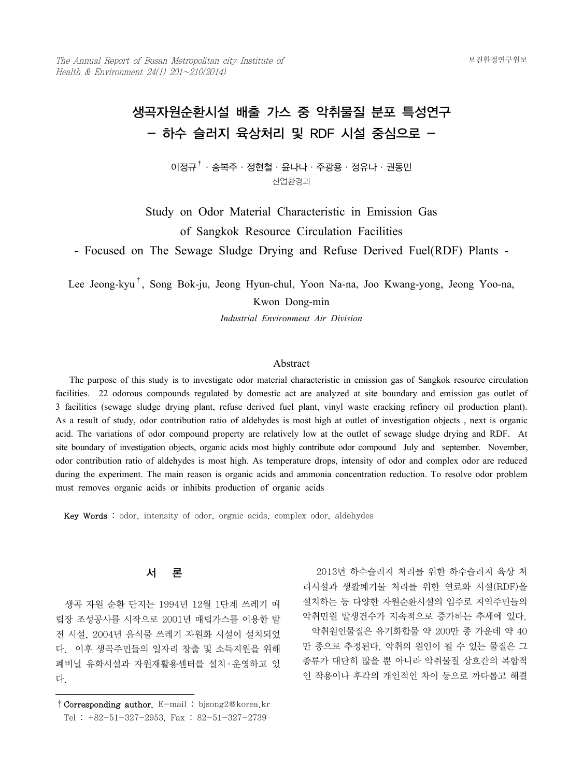# 생곡자원순환시설 배출 가스 중 악취물질 분포 특성연구 - 하수 슬러지 육상처리 및 RDF 시설 중심으로 -

이정규<sup>†</sup>·송복주·정현철·윤나나·주광용·정유나·권동민 산업환경과

Study on Odor Material Characteristic in Emission Gas of Sangkok Resource Circulation Facilities

- Focused on The Sewage Sludge Drying and Refuse Derived Fuel(RDF) Plants -

Lee Jeong-kyu†, Song Bok-ju, Jeong Hyun-chul, Yoon Na-na, Joo Kwang-yong, Jeong Yoo-na,

Kwon Dong-min

*Industrial Environment Air Division*

# Abstract

 The purpose of this study is to investigate odor material characteristic in emission gas of Sangkok resource circulation facilities. 22 odorous compounds regulated by domestic act are analyzed at site boundary and emission gas outlet of 3 facilities (sewage sludge drying plant, refuse derived fuel plant, vinyl waste cracking refinery oil production plant). As a result of study, odor contribution ratio of aldehydes is most high at outlet of investigation objects , next is organic acid. The variations of odor compound property are relatively low at the outlet of sewage sludge drying and RDF. At site boundary of investigation objects, organic acids most highly contribute odor compound July and september. November, odor contribution ratio of aldehydes is most high. As temperature drops, intensity of odor and complex odor are reduced during the experiment. The main reason is organic acids and ammonia concentration reduction. To resolve odor problem must removes organic acids or inhibits production of organic acids

Key Words : odor, intensity of odor, orgnic acids, complex odor, aldehydes

## 서 론

 생곡 자원 순환 단지는 1994년 12월 1단계 쓰레기 매 립장 조성공사를 시작으로 2001년 매립가스를 이용한 발 전 시설, 2004년 음식물 쓰레기 자원화 시설이 설치되었 다. 이후 생곡주민들의 일자리 창출 및 소득지원을 위해 폐비닐 유화시설과 자원재활용센터를 설치 · 운영하고 있 다.

 2013년 하수슬러지 처리를 위한 하수슬러지 육상 처 리시설과 생활폐기물 처리를 위한 연료화 시설(RDF)을 설치하는 등 다양한 자원순환시설의 입주로 지역주민들의 악취민원 발생건수가 지속적으로 증가하는 추세에 있다. 악취원인물질은 유기화합물 약 200만 종 가운데 약 40 만 종으로 추정된다. 악취의 원인이 될 수 있는 물질은 그 종류가 대단히 많을 뿐 아니라 악취물질 상호간의 복합적 인 작용이나 후각의 개인적인 차이 등으로 까다롭고 해결

<sup>†</sup>Corresponding author. E-mail : bjsong2@korea.kr Tel : +82-51-327-2953, Fax : 82-51-327-2739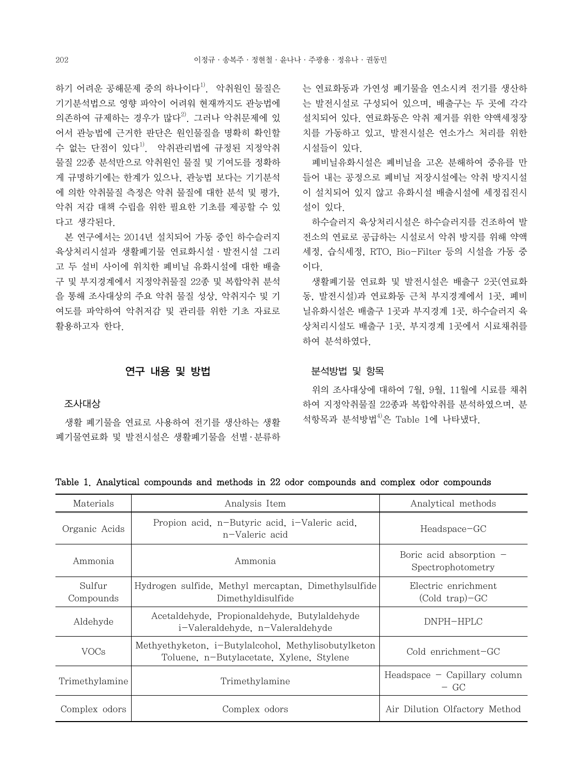하기 어려운 공해문제 중의 하나이다<sup>1)</sup>. 악취원인 물질은 기기분석법으로 영향 파악이 어려워 현재까지도 관능법에 의존하여 규제하는 경우가 많다<sup>2)</sup>. 그러나 악취무제에 있 어서 관능법에 근거한 판단은 원인물질을 명확히 확인할 수 없는 단점이 있다<sup>1)</sup>. 악취관리법에 규정된 지정악취 물질 22종 분석만으로 악취원인 물질 및 기여도를 정확하 게 규명하기에는 한계가 있으나, 관능법 보다는 기기분석 에 의한 악취물질 측정은 악취 물질에 대한 분석 및 평가, 악취 저감 대책 수립을 위한 필요한 기초를 제공할 수 있 다고 생각된다.

 본 연구에서는 2014년 설치되어 가동 중인 하수슬러지 육상처리시설과 생활폐기물 연료화시설·발전시설 그리 고 두 설비 사이에 위치한 폐비닐 유화시설에 대한 배출 구 및 부지경계에서 지정악취물질 22종 및 복합악취 분석 을 통해 조사대상의 주요 악취 물질 성상, 악취지수 및 기 여도를 파악하여 악취저감 및 관리를 위한 기초 자료로 활용하고자 한다.

## 연구 내용 및 방법

## 조사대상

 생활 폐기물을 연료로 사용하여 전기를 생산하는 생활 폐기물연료화 및 발전시설은 생활폐기물을 선별 · 분류하 는 연료화동과 가연성 폐기물을 연소시켜 전기를 생산하 는 발전시설로 구성되어 있으며, 배출구는 두 곳에 각각 설치되어 있다. 연료화동은 악취 제거를 위한 약액세정장 치를 가동하고 있고, 발전시설은 연소가스 처리를 위한 시설들이 있다.

 폐비닐유화시설은 폐비닐을 고온 분해하여 중유를 만 들어 내는 공정으로 폐비닐 저장시설에는 악취 방지시설 이 설치되어 있지 않고 유화시설 배출시설에 세정집진시 설이 있다.

 하수슬러지 육상처리시설은 하수슬러지를 건조하여 발 전소의 연료로 공급하는 시설로서 악취 방지를 위해 약액 세정, 습식세정, RTO, Bio-Filter 등의 시설을 가동 중 이다.

 생활폐기물 연료화 및 발전시설은 배출구 2곳(연료화 동, 발전시설)과 연료화동 근처 부지경계에서 1곳, 폐비 닐유화시설은 배출구 1곳과 부지경계 1곳, 하수슬러지 육 상처리시설도 배출구 1곳, 부지경계 1곳에서 시료채취를 하여 분석하였다.

#### 분석방법 및 항목

 위의 조사대상에 대하여 7월, 9월, 11월에 시료를 채취 하여 지정악취물질 22종과 복합악취를 분석하였으며, 분 석항목과 분석방법 $4^{(1)}$ 은 Table 1에 나타냈다.

| Table 1. Analytical compounds and methods in 22 odor compounds and complex odor compounds |  |
|-------------------------------------------------------------------------------------------|--|
|-------------------------------------------------------------------------------------------|--|

| Materials           | Analysis Item                                                                                   | Analytical methods                             |
|---------------------|-------------------------------------------------------------------------------------------------|------------------------------------------------|
| Organic Acids       | Propion acid, n-Butyric acid, i-Valeric acid,<br>n-Valeric acid                                 | Headspace-GC                                   |
| Ammonia             | Ammonia                                                                                         | Boric acid absorption $-$<br>Spectrophotometry |
| Sulfur<br>Compounds | Hydrogen sulfide, Methyl mercaptan, Dimethylsulfide<br>Dimethyldisulfide                        | Electric enrichment<br>$(Cold trap)-GC$        |
| Aldehyde            | Acetaldehyde, Propionaldehyde, Butylaldehyde<br>i-Valeraldehyde. n-Valeraldehyde                | DNPH-HPLC                                      |
| VOCs                | Methyethyketon, i-Butylalcohol, Methylisobutylketon<br>Toluene, n-Butylacetate, Xylene, Stylene | Cold enrichment-GC                             |
| Trimethylamine      | Trimethylamine                                                                                  | $Headspace - Capillary column$<br>$-$ GC       |
| Complex odors       | Complex odors                                                                                   | Air Dilution Olfactory Method                  |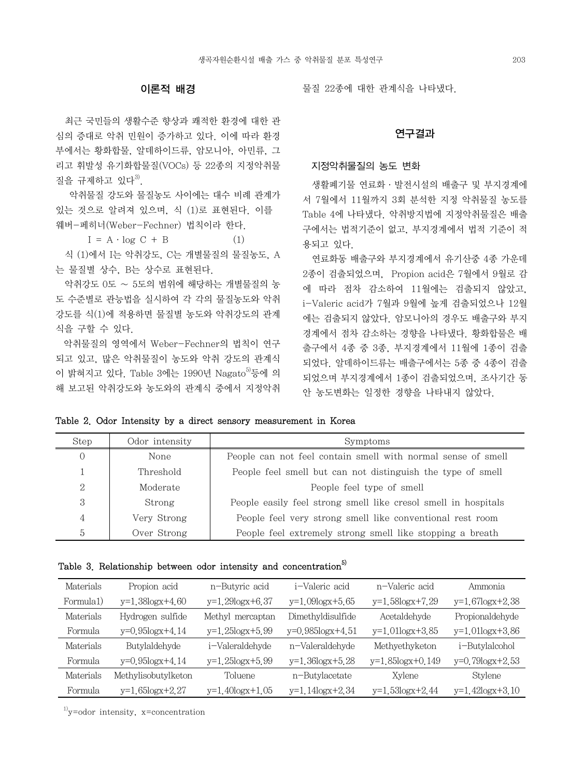# 이론적 배경

 최근 국민들의 생활수준 향상과 쾌적한 환경에 대한 관 심의 증대로 악취 민원이 증가하고 있다. 이에 따라 환경 부에서는 황화합물, 알데하이드류, 암모니아, 아민류, 그 리고 휘발성 유기화합물질(VOCs) 등 22종의 지정악취물 질을 규제하고 있다 $3$ .

 악취물질 강도와 물질농도 사이에는 대수 비례 관계가 있는 것으로 알려져 있으며, 식 (1)로 표현된다. 이를 웨버-페히너(Weber-Fechner) 법칙이라 한다.

 $I = A \cdot \log C + B$  (1)

 식 (1)에서 I는 악취강도, C는 개별물질의 물질농도, A 는 물질별 상수, B는 상수로 표현된다.

 악취강도 0도 ∼ 5도의 범위에 해당하는 개별물질의 농 도 수준별로 관능법을 실시하여 각 각의 물질농도와 악취 강도를 식(1)에 적용하면 물질별 농도와 악취강도의 관계 식을 구할 수 있다.

 악취물질의 영역에서 Weber-Fechner의 법칙이 연구 되고 있고, 많은 악취물질이 농도와 악취 강도의 관계식 이 밝혀지고 있다. Table 3에는 1990년 Nagato $^{5}$ 등에 의 해 보고된 악취강도와 농도와의 관계식 중에서 지정악취 물질 22종에 대한 관계식을 나타냈다.

## 연구결과

#### 지정악취물질의 농도 변화

 생활폐기물 연료화·발전시설의 배출구 및 부지경계에 서 7월에서 11월까지 3회 분석한 지정 악취물질 농도를 Table 4에 나타냈다. 악취방지법에 지정악취물질은 배출 구에서는 법적기준이 없고, 부지경계에서 법적 기준이 적 용되고 있다.

 연료화동 배출구와 부지경계에서 유기산중 4종 가운데 2종이 검출되었으며, Propion acid은 7월에서 9월로 감 에 따라 점차 감소하여 11월에는 검출되지 않았고, i-Valeric acid가 7월과 9월에 높게 검출되었으나 12월 에는 검출되지 않았다. 암모니아의 경우도 배출구와 부지 경계에서 점차 감소하는 경향을 나타냈다. 황화합물은 배 출구에서 4종 중 3종, 부지경계에서 11월에 1종이 검출 되었다. 알데하이드류는 배출구에서는 5종 중 4종이 검출 되었으며 부지경계에서 1종이 검출되었으며, 조사기간 동 안 농도변화는 일정한 경향을 나타내지 않았다.

Table 2. Odor Intensity by a direct sensory measurement in Korea

| Step | Odor intensity | Symptoms                                                       |
|------|----------------|----------------------------------------------------------------|
| 0    | None           | People can not feel contain smell with normal sense of smell   |
|      | Threshold      | People feel smell but can not distinguish the type of smell    |
| 2    | Moderate       | People feel type of smell                                      |
| 3    | Strong         | People easily feel strong smell like cresol smell in hospitals |
| 4    | Very Strong    | People feel very strong smell like conventional rest room      |
| 5    | Over Strong    | People feel extremely strong smell like stopping a breath      |

| Materials | Propion acid          | n-Butyric acid        | i-Valeric acid        | n-Valeric acid        | Ammonia               |
|-----------|-----------------------|-----------------------|-----------------------|-----------------------|-----------------------|
| Formula1) | $y=1.38logx+4.60$     | y=1.29logx+6.37       | $y=1.09$ logx $+5.65$ | y=1.58logx+7.29       | y=1.67logx+2.38       |
| Materials | Hydrogen sulfide      | Methyl mercaptan      | Dimethyldisulfide     | Acetaldehyde          | Propionaldehyde       |
| Formula   | $y=0.95logx+4.14$     | $y=1.25$ $logx+5.99$  | $y=0.985logx+4.51$    | $y=1.01$ logx $+3.85$ | $y=1.01$ logx $+3.86$ |
| Materials | Butylaldehyde         | i-Valeraldehyde       | n-Valeraldehyde       | Methyethyketon        | i-Butylalcohol        |
| Formula   | y=0.95logx+4.14       | y=1.25logx+5.99       | $y=1.36$ logx $+5.28$ | y=1.85logx+0.149      | y=0.79logx+2.53       |
| Materials | Methylisobutylketon   | Toluene               | n-Butylacetate        | Xylene                | Stylene               |
| Formula   | $y=1.65$ logx $+2.27$ | $y=1.40$ logx $+1.05$ | $y=1.14$ logx $+2.34$ | $y=1.53$ logx $+2.44$ | $y=1.42$ logx $+3.10$ |

 $1)$ y=odor intensity, x=concentration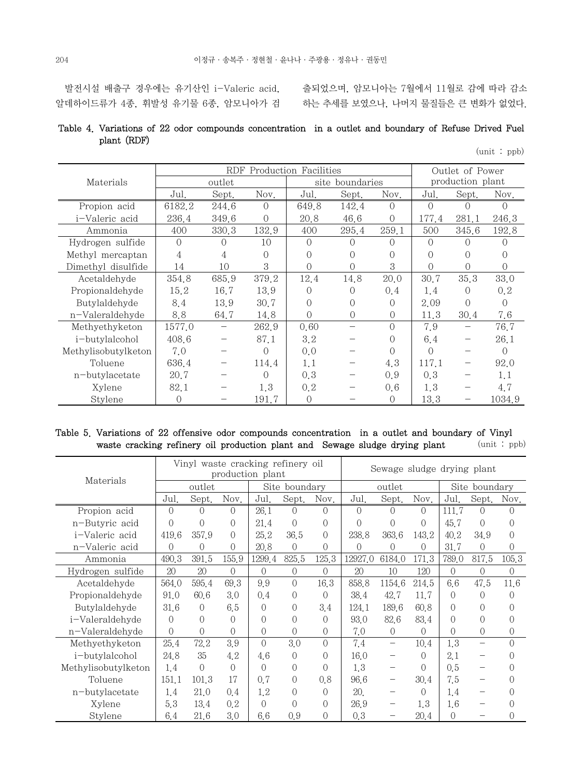발전시설 배출구 경우에는 유기산인 i-Valeric acid,

알데하이드류가 4종, 휘발성 유기물 6종, 암모니아가 검

출되었으며, 암모니아는 7월에서 11월로 감에 따라 감소 하는 추세를 보였으나, 나머지 물질들은 큰 변화가 없었다.

# Table 4. Variations of 22 odor compounds concentration in a outlet and boundary of Refuse Drived Fuel plant (RDF)

| tunit) |  | (ppb |
|--------|--|------|
|--------|--|------|

|                     |          | <b>RDF</b>       |          | Production Facilities |                  |                  | Outlet of Power  |                  |                  |  |
|---------------------|----------|------------------|----------|-----------------------|------------------|------------------|------------------|------------------|------------------|--|
| Materials           |          | outlet           |          |                       | site boundaries  |                  | production plant |                  |                  |  |
|                     | Jul.     | Sept.            | Nov.     | Jul.                  | Sept.            | Nov.             | Jul.             | Sept.            | Nov.             |  |
| Propion acid        | 6182.2   | 244.6            | $\Omega$ | 649.8                 | 142.4            | $\Omega$         | $\Omega$         | $\left( \right)$ | $\left( \right)$ |  |
| i-Valeric acid      | 236.4    | 349.6            | $\Omega$ | 20.8                  | 46.6             | $\Omega$         | 177.4            | 281.1            | 246.3            |  |
| Ammonia             | 400      | 330.3            | 132.9    | 400                   | 295.4            | 259.1            | 500              | 345.6            | 192.8            |  |
| Hydrogen sulfide    | $\Omega$ | $\left( \right)$ | 10       | $\Omega$              | $\left( \right)$ | $\left( \right)$ | $\Omega$         |                  |                  |  |
| Methyl mercaptan    | 4        | 4                | 0        | $\Omega$              | $\Omega$         | 0                | $\Omega$         | $\left( \right)$ |                  |  |
| Dimethyl disulfide  | 14       | 10               | 3        | $\Omega$              | $\left( \right)$ | 3                | $\Omega$         | 0                | $\Omega$         |  |
| Acetaldehyde        | 354.8    | 685.9            | 379.2    | 12.4                  | 14.8             | 20.0             | 30.7             | 35.3             | 33.0             |  |
| Propionaldehyde     | 15.2     | 16.7             | 13.9     | $\Omega$              | $\Omega$         | 0.4              | 1.4              | $\Omega$         | 0, 2             |  |
| Butylaldehyde       | 8.4      | 13.9             | 30.7     | $\Omega$              | ∩                | $\Omega$         | 2.09             | $\Omega$         | $\Omega$         |  |
| n-Valeraldehyde     | 8.8      | 64.7             | 14.8     | $\bigcap$             | $\Omega$         | $\Omega$         | 11.3             | 30.4             | 7.6              |  |
| Methyethyketon      | 1577.0   |                  | 262.9    | 0.60                  |                  | $\bigcap$        | 7.9              |                  | 76.7             |  |
| i-butylalcohol      | 408.6    |                  | 87.1     | 3.2                   |                  | ∩                | 6.4              |                  | 26.1             |  |
| Methylisobutylketon | 7.0      |                  | 0        | 0,0                   |                  | $\Omega$         | $\Omega$         |                  | $\Omega$         |  |
| Toluene             | 636.4    |                  | 114.4    | 1,1                   |                  | 4.3              | 117.1            |                  | 92.0             |  |
| n-butylacetate      | 20.7     |                  | $\Omega$ | 0,3                   |                  | 0.9              | 0,3              |                  | 1,1              |  |
| Xylene              | 82.1     |                  | 1.3      | 0, 2                  |                  | 0,6              | 1.3              |                  | 4.7              |  |
| Stylene             | 0        |                  | 191.7    | $\Omega$              |                  | $\Omega$         | 13.3             |                  | 1034.9           |  |

# Table 5. Variations of 22 offensive odor compounds concentration in a outlet and boundary of Vinyl waste cracking refinery oil production plant and Sewage sludge drying plant (unit : ppb)

|                     | Vinyl waste cracking refinery oil<br>production plant |            |                  |                |                |                |           | Sewage sludge drying plant |            |                  |                          |                  |
|---------------------|-------------------------------------------------------|------------|------------------|----------------|----------------|----------------|-----------|----------------------------|------------|------------------|--------------------------|------------------|
| Materials           | outlet                                                |            |                  |                | Site boundary  |                |           | outlet                     |            | Site boundary    |                          |                  |
|                     | Jul.                                                  | Sept.      | Nov.             | Jul.           | Sept.          | Nov.           | Jul.      | Sept.                      | Nov.       | Jul.             | Sept.                    | Nov.             |
| Propion acid        | $\Omega$                                              | $\Omega$   | $\bigcap$        | 26.1           | 0              | $\Omega$       | $\Omega$  | $\Omega$                   | $\Omega$   | 111.7            | $\Omega$                 | $\Omega$         |
| n-Butyric acid      | $\Omega$                                              | $\bigcirc$ | $\bigcirc$       | 21.4           | $\theta$       | $\bigcirc$     | $\bigcap$ | $\left($                   | $\bigcirc$ | 45.7             | $\Omega$                 | $\Omega$         |
| i-Valeric acid      | 419.6                                                 | 357.9      | $\Omega$         | 25.2           | 36.5           | $\Omega$       | 238.8     | 363.6                      | 143.2      | 40.2             | 34.9                     | $\Omega$         |
| n-Valeric acid      | $\Omega$                                              | 0          | $\bigcap$        | 20.8           | 0              | 0              | $\Omega$  | $\Omega$                   | $\Omega$   | 31.7             | $\Omega$                 | $\Omega$         |
| Ammonia             | 490.3                                                 | 391.5      | 155.9            | 1299.4         | 825.5          | 125.3          | 12927.0   | 6184.0                     | 171.3      | 789.0            | 817.5                    | 105.3            |
| Hydrogen sulfide    | 20                                                    | 20         | $\left( \right)$ | $\overline{0}$ | 0              | $\overline{0}$ | 20        | 10                         | 120        | $\Omega$         | $\bigcap$                | $\overline{0}$   |
| Acetaldehyde        | 564.0                                                 | 595.4      | 69.3             | 9.9            | $\overline{0}$ | 16.3           | 858.8     | 1154.6                     | 214.5      | 6.6              | 47.5                     | 11.6             |
| Propionaldehyde     | 91.0                                                  | 60.6       | 3.0              | 0.4            | 0              | $\Omega$       | 38.4      | 42.7                       | 11.7       | $\Omega$         | $\Omega$                 | $\left($         |
| Butylaldehyde       | 31,6                                                  | $\Omega$   | 6.5              | 0              | $\theta$       | 3.4            | 124.1     | 189.6                      | 60.8       | $\Omega$         | 0                        | $\bigcirc$       |
| i-Valeraldehyde     | $\Omega$                                              | $\Omega$   | $\Omega$         | $\Omega$       | $\theta$       | $\bigcirc$     | 93.0      | 82.6                       | 83.4       | 0                | $\Omega$                 | 0                |
| n-Valeraldehyde     | $\bigcirc$                                            | $\Omega$   | $\bigcirc$       | $\theta$       | 0              | $\theta$       | 7.0       | $\Omega$                   | $\theta$   | 0                | $\Omega$                 | $\Omega$         |
| Methyethyketon      | 25.4                                                  | 72.2       | 3.9              | $\overline{O}$ | 3.0            | $\bigcap$      | 7.4       | $\qquad \qquad -$          | 10.4       | 1.3              | $\overline{\phantom{0}}$ | $\bigcirc$       |
| i-butylalcohol      | 24.8                                                  | 35         | 4.2              | 4.6            | $\Omega$       | $\bigcirc$     | 16.0      |                            | $\Omega$   | 2.1              |                          | 0                |
| Methylisobutylketon | 1.4                                                   | $\bigcap$  | $\bigcirc$       | 0              | $\theta$       | 0              | 1.3       |                            | $\Omega$   | 0.5              |                          | $\left( \right)$ |
| Toluene             | 151.1                                                 | 101.3      | 17               | 0.7            | $\overline{0}$ | 0.8            | 96.6      | $\overline{\phantom{m}}$   | 30.4       | 7.5              |                          | 0                |
| n-butylacetate      | 1.4                                                   | 21.0       | 0,4              | 1.2            | $\theta$       | $\bigcirc$     | 20.       |                            | $\Omega$   | 1.4              | $\overline{\phantom{0}}$ | 0                |
| Xylene              | 5.3                                                   | 13.4       | 0,2              | $\Omega$       | 0              | 0              | 26.9      |                            | 1.3        | 1.6              |                          | 0                |
| Stylene             | 6.4                                                   | 21.6       | 3.0              | 6.6            | 0.9            | 0              | 0,3       |                            | 20.4       | $\left( \right)$ |                          | $\Omega$         |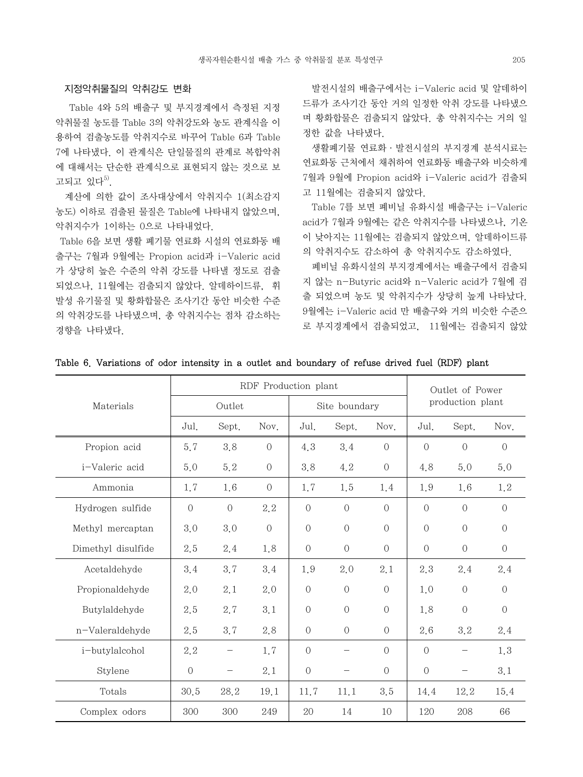## 지정악취물질의 악취강도 변화

 Table 4와 5의 배출구 및 부지경계에서 측정된 지정 악취물질 농도를 Table 3의 악취강도와 농도 관계식을 이 용하여 검출농도를 악취지수로 바꾸어 Table 6과 Table 7에 나타냈다. 이 관계식은 단일물질의 관계로 복합악취 에 대해서는 단순한 관계식으로 표현되지 않는 것으로 보 고되고 있다 $^{5)}$ .

 계산에 의한 값이 조사대상에서 악취지수 1(최소감지 농도) 이하로 검출된 물질은 Table에 나타내지 않았으며, 악취지수가 1이하는 0으로 나타내었다.

 Table 6을 보면 생활 폐기물 연료화 시설의 연료화동 배 출구는 7월과 9월에는 Propion acid과 i-Valeric acid 가 상당히 높은 수준의 악취 강도를 나타낼 정도로 검출 되었으나, 11월에는 검출되지 않았다. 알데하이드류, 휘 발성 유기물질 및 황화합물은 조사기간 동안 비슷한 수준 의 악취강도를 나타냈으며, 총 악취지수는 점차 감소하는 경향을 나타냈다.

 발전시설의 배출구에서는 i-Valeric acid 및 알데하이 드류가 조사기간 동안 거의 일정한 악취 강도를 나타냈으 며 황화합물은 검출되지 않았다. 총 악취지수는 거의 일 정한 값을 나타냈다.

 생활폐기물 연료화·발전시설의 부지경계 분석시료는 연료화동 근처에서 채취하여 연료화동 배출구와 비슷하게 7월과 9월에 Propion acid와 i-Valeric acid가 검출되 고 11월에는 검출되지 않았다.

 Table 7를 보면 폐비닐 유화시설 배출구는 i-Valeric acid가 7월과 9월에는 같은 악취지수를 나타냈으나, 기온 이 낮아지는 11월에는 검출되지 않았으며, 알데하이드류 의 악취지수도 감소하여 총 악취지수도 감소하였다.

 폐비닐 유화시설의 부지경계에서는 배출구에서 검출되 지 않는 n-Butyric acid와 n-Valeric acid가 7월에 검 출 되었으며 농도 및 악취지수가 상당히 높게 나타났다. 9월에는 i-Valeric acid 만 배출구와 거의 비슷한 수준으 로 부지경계에서 검출되었고, 11월에는 검출되지 않았

|                    |                |                | RDF Production plant |                |                |                | Outlet of Power |                  |                  |  |
|--------------------|----------------|----------------|----------------------|----------------|----------------|----------------|-----------------|------------------|------------------|--|
| Materials          |                | Outlet         |                      |                | Site boundary  |                |                 | production plant |                  |  |
|                    | Jul.           | Sept.          | Nov.                 | Jul.           | Sept.          | Nov.           | Jul.            | Sept.            | Nov.             |  |
| Propion acid       | 5.7            | 3.8            | $\overline{0}$       | 4.3            | 3.4            | $\sqrt{a}$     | $\overline{0}$  | $\overline{0}$   | $\sqrt{a}$       |  |
| i-Valeric acid     | 5.0            | 5.2            | $\mathcal O$         | 3.8            | 4.2            | $\sqrt{a}$     | 4.8             | 5.0              | 5.0              |  |
| Ammonia            | 1.7            | 1.6            | $\overline{0}$       | 1.7            | 1.5            | 1.4            | 1.9             | 1.6              | 1.2              |  |
| Hydrogen sulfide   | $\overline{0}$ | $\overline{O}$ | 2.2                  | $\overline{0}$ | $\overline{0}$ | $\Omega$       | $\Omega$        | $\overline{0}$   | $\overline{0}$   |  |
| Methyl mercaptan   | 3.0            | 3.0            | $\cal O$             | $\sqrt{a}$     | $\sqrt{a}$     | $\overline{0}$ | $\overline{0}$  | $\overline{O}$   | $\cal O$         |  |
| Dimethyl disulfide | 2.5            | 2.4            | 1.8                  | $\sqrt{a}$     | $\sqrt{a}$     | $\overline{0}$ | $\bigcirc$      | $\overline{O}$   | $\boldsymbol{0}$ |  |
| Acetaldehyde       | 3.4            | 3.7            | 3.4                  | 1.9            | 2.0            | 2.1            | 2.3             | 2.4              | 2.4              |  |
| Propionaldehyde    | 2.0            | 2.1            | 2.0                  | $\sqrt{a}$     | $\overline{0}$ | $\sqrt{a}$     | 1.0             | $\overline{O}$   | $\sqrt{a}$       |  |
| Butylaldehyde      | 2.5            | 2.7            | 3.1                  | $\sqrt{a}$     | $\overline{0}$ | $\sqrt{a}$     | 1.8             | $\sqrt{a}$       | $\overline{0}$   |  |
| n-Valeraldehyde    | 2.5            | 3.7            | 2.8                  | $\sqrt{a}$     | $\sqrt{a}$     | $\overline{O}$ | 2.6             | 3.2              | 2.4              |  |
| i-butylalcohol     | 2.2            |                | 1.7                  | $\sqrt{a}$     |                | $\Omega$       | $\Omega$        |                  | 1.3              |  |
| Stylene            | $\overline{0}$ |                | 2.1                  | $\sqrt{a}$     |                | $\sqrt{a}$     | $\overline{0}$  |                  | 3.1              |  |
| Totals             | 30.5           | 28.2           | 19.1                 | 11.7           | 11.1           | 3.5            | 14.4            | 12.2             | 15.4             |  |
| Complex odors      | 300            | 300            | 249                  | 20             | 14             | 10             | 120             | 208              | 66               |  |

#### Table 6. Variations of odor intensity in a outlet and boundary of refuse drived fuel (RDF) plant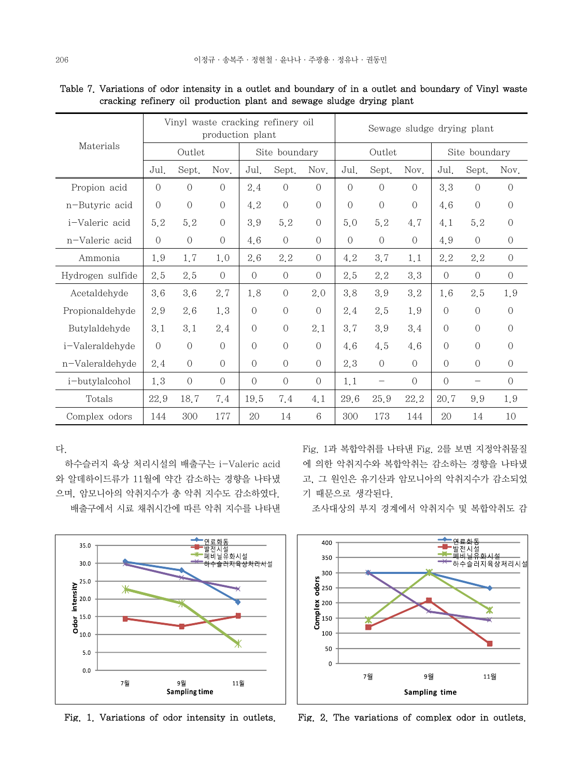|                  |                |                | production plant |                | Vinyl waste cracking refinery oil | Sewage sludge drying plant |                |                          |            |                |                          |                |
|------------------|----------------|----------------|------------------|----------------|-----------------------------------|----------------------------|----------------|--------------------------|------------|----------------|--------------------------|----------------|
| Materials        |                | Outlet         |                  |                | Site boundary                     |                            |                | Outlet                   |            | Site boundary  |                          |                |
|                  | Jul.           | Sept.          | Nov.             | Jul.           | Sept.                             | Nov.                       | Jul.           | Sept.                    | Nov.       | Jul.           | Sept.                    | Nov.           |
| Propion acid     | $\overline{0}$ | $\overline{0}$ | $\overline{O}$   | 2.4            | $\theta$                          | $\Omega$                   | $\overline{O}$ | $\overline{0}$           | $\bigcap$  | 3.3            | $\overline{O}$           | $\overline{O}$ |
| n-Butyric acid   | $\sqrt{a}$     | $\sqrt{a}$     | $\sqrt{a}$       | 4.2            | $\mathcal O$                      | $\overline{0}$             | $\Omega$       | $\sqrt{a}$               | $\bigcap$  | 4.6            | $\sqrt{a}$               | $\overline{0}$ |
| i-Valeric acid   | 5.2            | 5.2            | $\sqrt{a}$       | 3.9            | 5.2                               | $\overline{0}$             | 5.0            | 5.2                      | 4.7        | 4.1            | 5.2                      | $\sqrt{a}$     |
| n-Valeric acid   | $\sqrt{a}$     | $\overline{O}$ | $\sqrt{a}$       | 4.6            | $\sqrt{a}$                        | $\Omega$                   | $\Omega$       | $\Omega$                 | $\bigcirc$ | 4.9            | $\overline{O}$           | $\mathbf{0}$   |
| Ammonia          | 1.9            | 1.7            | 1,0              | 2.6            | 2.2                               | $\overline{O}$             | 4.2            | 3.7                      | 1,1        | 2.2            | 2.2                      | $\overline{O}$ |
| Hydrogen sulfide | 2.5            | 2.5            | $\Omega$         | $\Omega$       | $\sqrt{a}$                        | $\Omega$                   | 2.5            | 2.2                      | 3.3        | $\Omega$       | $\Omega$                 | $\overline{O}$ |
| Acetaldehyde     | 3.6            | 3.6            | 2.7              | 1.8            | $\sqrt{a}$                        | 2.0                        | 3.8            | 3.9                      | 3.2        | 1.6            | 2.5                      | 1.9            |
| Propionaldehyde  | 2.9            | 2.6            | 1.3              | $\overline{O}$ | $\mathcal O$                      | $\sqrt{a}$                 | 2.4            | 2.5                      | 1.9        | $\overline{O}$ | $\overline{O}$           | $\theta$       |
| Butylaldehyde    | 3.1            | 3.1            | 2.4              | $\overline{O}$ | $\mathcal O$                      | 2.1                        | 3.7            | 3.9                      | 3.4        | $\sqrt{a}$     | $\sqrt{a}$               | $\overline{O}$ |
| i-Valeraldehyde  | $\overline{0}$ | $\Omega$       | $\Omega$         | $\Omega$       | $\overline{0}$                    | $\overline{O}$             | 4.6            | 4.5                      | 4.6        | $\Omega$       | $\overline{0}$           | $\Omega$       |
| n-Valeraldehyde  | 2.4            | $\Omega$       | $\overline{O}$   | $\Omega$       | $\overline{O}$                    | $\Omega$                   | 2.3            | $\Omega$                 | $\bigcirc$ | $\Omega$       | $\overline{O}$           | $\overline{O}$ |
| i-butylalcohol   | 1.3            | $\Omega$       | $\Omega$         | $\Omega$       | $\sqrt{a}$                        | $\overline{O}$             | 1,1            | $\overline{\phantom{m}}$ | $\Omega$   | $\Omega$       | $\overline{\phantom{m}}$ | $\overline{0}$ |
| Totals           | 22.9           | 18.7           | 7.4              | 19.5           | 7.4                               | 4.1                        | 29.6           | 25.9                     | 22.2       | 20.7           | 9.9                      | 1.9            |
| Complex odors    | 144            | 300            | 177              | 20             | 14                                | $6\phantom{1}6$            | 300            | 173                      | 144        | 20             | 14                       | 10             |

 Table 7. Variations of odor intensity in a outlet and boundary of in a outlet and boundary of Vinyl waste cracking refinery oil production plant and sewage sludge drying plant

다.

35.0

30.0

Ж

7월

 $\sum_{i=1}^{n} \sum_{i=1}^{n}$  <br> 20.0  $25.0$ 

 $\frac{1}{8}^{15.0}$ 

 $5.0$ 

 $0.0$ 

 하수슬러지 육상 처리시설의 배출구는 i-Valeric acid 와 알데하이드류가 11월에 약간 감소하는 경향을 나타냈 으며, 암모니아의 악취지수가 총 악취 지수도 감소하였다. 배출구에서 시료 채취시간에 따른 악취 지수를 나타낸 Fig. 1과 복합악취를 나타낸 Fig. 2를 보면 지정악취물질 에 의한 악취지수와 복합악취는 감소하는 경향을 나타냈 고, 그 원인은 유기산과 암모니아의 악취지수가 감소되었 기 때문으로 생각된다.

조사대상의 부지 경계에서 악취지수 및 복합악취도 감



Fig. 1. Variations of odor intensity in outlets. Fig. 2. The variations of complex odor in outlets.

9월

**Sampling time** 

 $\breve{\textbf{x}}$ 

11월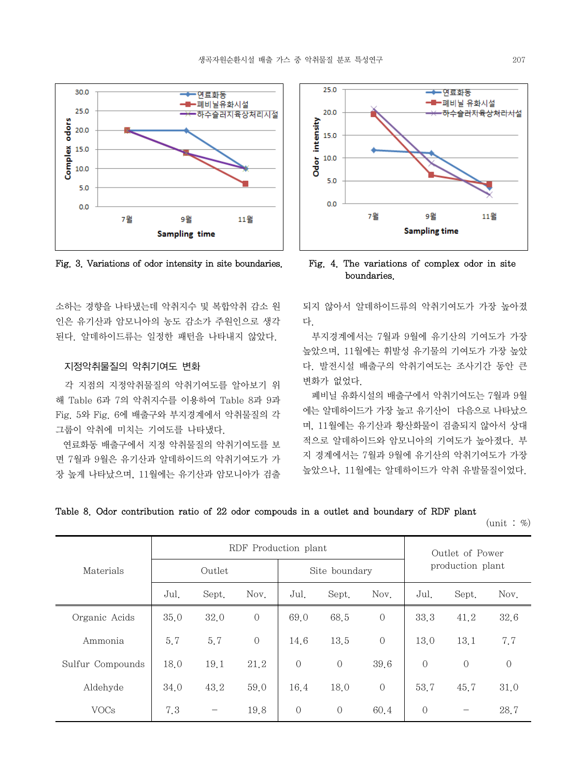

소하는 경향을 나타냈는데 악취지수 및 복합악취 감소 원 인은 유기산과 암모니아의 농도 감소가 주원인으로 생각 된다. 알데하이드류는 일정한 패턴을 나타내지 않았다.

# 지정악취물질의 악취기여도 변화

 각 지점의 지정악취물질의 악취기여도를 알아보기 위 해 Table 6과 7의 악취지수를 이용하여 Table 8과 9과 Fig. 5와 Fig. 6에 배출구와 부지경계에서 악취물질의 각 그룹이 악취에 미치는 기여도를 나타냈다.

 연료화동 배출구에서 지정 악취물질의 악취기여도를 보 면 7월과 9월은 유기산과 알데하이드의 악취기여도가 가 장 높게 나타났으며, 11월에는 유기산과 암모니아가 검출



Fig. 3. Variations of odor intensity in site boundaries. Fig. 4. The variations of complex odor in site boundaries.

되지 않아서 알데하이드류의 악취기여도가 가장 높아졌 다.

 부지경계에서는 7월과 9월에 유기산의 기여도가 가장 높았으며, 11월에는 휘발성 유기물의 기여도가 가장 높았 다. 발전시설 배출구의 악취기여도는 조사기간 동안 큰 변화가 없었다.

 폐비닐 유화시설의 배출구에서 악취기여도는 7월과 9월 에는 알데하이드가 가장 높고 유기산이 다음으로 나타났으 며, 11월에는 유기산과 황산화물이 검출되지 않아서 상대 적으로 알데하이드와 암모니아의 기여도가 높아졌다. 부 지 경계에서는 7월과 9월에 유기산의 악취기여도가 가장 높았으나, 11월에는 알데하이드가 악취 유발물질이었다.

|  |  |  | Table 8. Odor contribution ratio of 22 odor compouds in a outlet and boundary of RDF plant |  |  |  |  |  |  |  |  |  |  |  |  |  |
|--|--|--|--------------------------------------------------------------------------------------------|--|--|--|--|--|--|--|--|--|--|--|--|--|
|--|--|--|--------------------------------------------------------------------------------------------|--|--|--|--|--|--|--|--|--|--|--|--|--|

 $(\text{unit} : \%)$ 

|                  |      | RDF Production plant | Outlet of Power |                |                |                |                  |                                |                |
|------------------|------|----------------------|-----------------|----------------|----------------|----------------|------------------|--------------------------------|----------------|
| Materials        |      | Outlet               |                 |                | Site boundary  |                | production plant |                                |                |
|                  | Jul. | Sept.                | Nov.            | Jul.           | Sept.          | Nov.           | Jul.             | Sept.                          | Nov.           |
| Organic Acids    | 35.0 | 32.0                 | $\overline{0}$  | 69.0           | 68.5           | $\overline{0}$ | 33.3             | 41.2                           | 32.6           |
| Ammonia          | 5.7  | 5.7                  | $\overline{0}$  | 14.6           | 13.5           | $\overline{0}$ | 13.0             | 13.1                           | 7.7            |
| Sulfur Compounds | 18.0 | 19.1                 | 21.2            | $\overline{0}$ | $\overline{0}$ | 39.6           | $\overline{O}$   | $\overline{0}$                 | $\overline{0}$ |
| Aldehyde         | 34.0 | 43.2                 | 59.0            | 16.4           | 18.0           | $\overline{0}$ | 53.7             | 45.7                           | 31.0           |
| <b>VOCs</b>      | 7.3  | $\qquad \qquad$      | 19.8            | $\overline{0}$ | $\overline{O}$ | 60.4           | $\overline{O}$   | $\qquad \qquad \longleftarrow$ | 28.7           |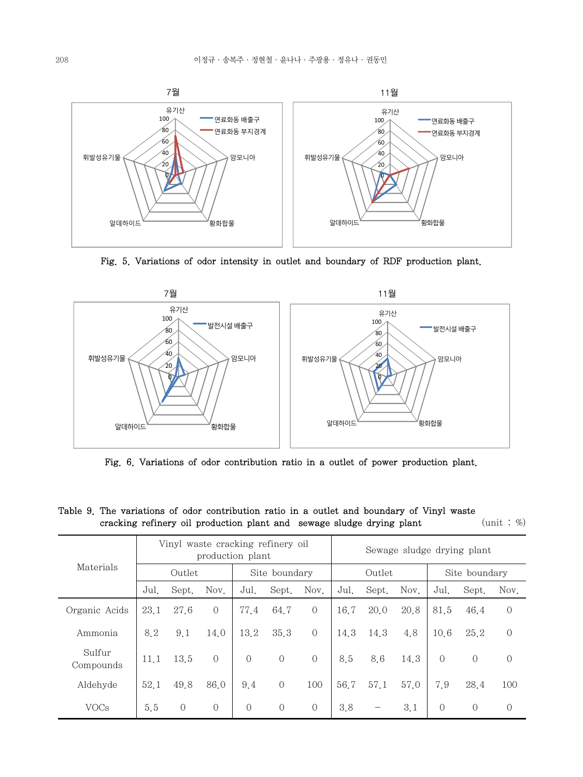

Fig. 5. Variations of odor intensity in outlet and boundary of RDF production plant.



Fig. 6. Variations of odor contribution ratio in a outlet of power production plant.

| $        -$<br>$P = 1$<br>---<br>----- |                                                       |          |                |                |                |                |                            |       |      |                |                |                |
|----------------------------------------|-------------------------------------------------------|----------|----------------|----------------|----------------|----------------|----------------------------|-------|------|----------------|----------------|----------------|
| Materials                              | Vinyl waste cracking refinery oil<br>production plant |          |                |                |                |                | Sewage sludge drying plant |       |      |                |                |                |
|                                        | Outlet                                                |          |                | Site boundary  |                |                | Outlet                     |       |      | Site boundary  |                |                |
|                                        | Jul.                                                  | Sept.    | Nov.           | Jul.           | Sept.          | Nov.           | Jul.                       | Sept. | Nov. | Jul.           | Sept.          | Nov.           |
| Organic Acids                          | 23.1                                                  | 27.6     | $\overline{O}$ | 77.4           | 64.7           | $\overline{0}$ | 16.7                       | 20.0  | 20.8 | 81.5           | 46.4           | $\overline{0}$ |
| Ammonia                                | 8.2                                                   | 9.1      | 14.0           | 13.2           | 35.3           | $\Omega$       | 14.3                       | 14.3  | 4.8  | 10.6           | 25.2           | $\sqrt{a}$     |
| Sulfur<br>Compounds                    | 11.1                                                  | 13.5     | $\overline{0}$ | $\overline{0}$ | $\overline{O}$ | $\bigcirc$     | 8.5                        | 8.6   | 14.3 | $\Omega$       | $\overline{0}$ | $\theta$       |
| Aldehyde                               | 52.1                                                  | 49.8     | 86.0           | 9.4            | $\overline{O}$ | 100            | 56.7                       | 57.1  | 57.0 | 7.9            | 28.4           | 100            |
| <b>VOCs</b>                            | 5.5                                                   | $\Omega$ | $\overline{0}$ | $\overline{0}$ | $\overline{O}$ | $\Omega$       | 3.8                        |       | 3.1  | $\overline{0}$ | $\overline{O}$ | $\mathbf{0}$   |

Table 9. The variations of odor contribution ratio in a outlet and boundary of Vinyl waste cracking refinery oil production plant and sewage sludge drying plant (unit :  $\%$ )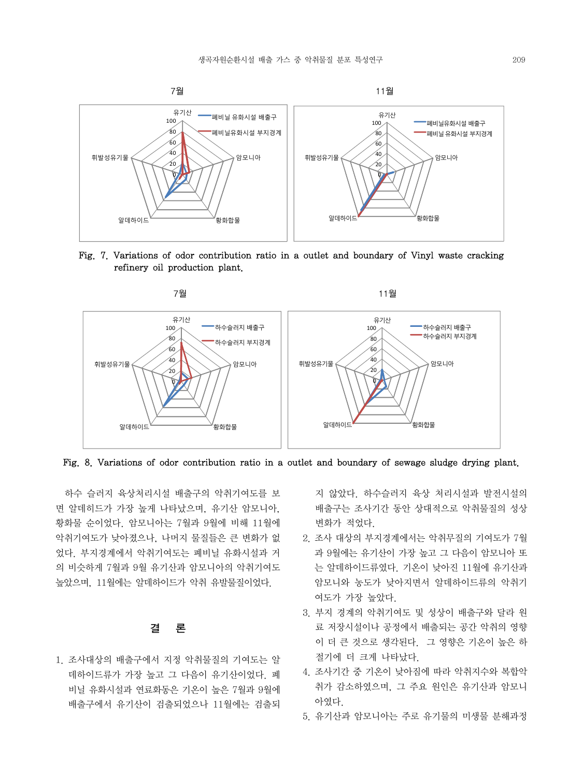

Fig. 7. Variations of odor contribution ratio in a outlet and boundary of Vinyl waste cracking refinery oil production plant.



Fig. 8. Variations of odor contribution ratio in a outlet and boundary of sewage sludge drying plant.

 하수 슬러지 육상처리시설 배출구의 악취기여도를 보 면 알데히드가 가장 높게 나타났으며, 유기산 암모니아, 황화물 순이었다. 암모니아는 7월과 9월에 비해 11월에 악취기여도가 낮아졌으나, 나머지 물질들은 큰 변화가 없 었다. 부지경계에서 악취기여도는 폐비닐 유화시설과 거 의 비슷하게 7월과 9월 유기산과 암모니아의 악취기여도 높았으며, 11월에는 알데하이드가 악취 유발물질이었다.

# 결 론

1. 조사대상의 배출구에서 지정 악취물질의 기여도는 알 데하이드류가 가장 높고 그 다음이 유기산이었다. 폐 비닐 유화시설과 연료화동은 기온이 높은 7월과 9월에 배출구에서 유기산이 검출되었으나 11월에는 검출되

지 않았다. 하수슬러지 육상 처리시설과 발전시설의 배출구는 조사기간 동안 상대적으로 악취물질의 성상 변화가 적었다.

- 2. 조사 대상의 부지경계에서는 악취무질의 기여도가 7월 과 9월에는 유기산이 가장 높고 그 다음이 암모니아 또 는 알데하이드류였다. 기온이 낮아진 11월에 유기산과 암모니와 농도가 낮아지면서 알데하이드류의 악취기 여도가 가장 높았다.
- 3. 부지 경계의 악취기여도 및 성상이 배출구와 달라 원 료 저장시설이나 공정에서 배출되는 공간 악취의 영향 이 더 큰 것으로 생각된다. 그 영향은 기온이 높은 하 절기에 더 크게 나타났다.
- 4. 조사기간 중 기온이 낮아짐에 따라 악취지수와 복합악 취가 감소하였으며, 그 주요 원인은 유기산과 암모니 아였다.
- 5. 유기산과 암모니아는 주로 유기물의 미생물 분해과정